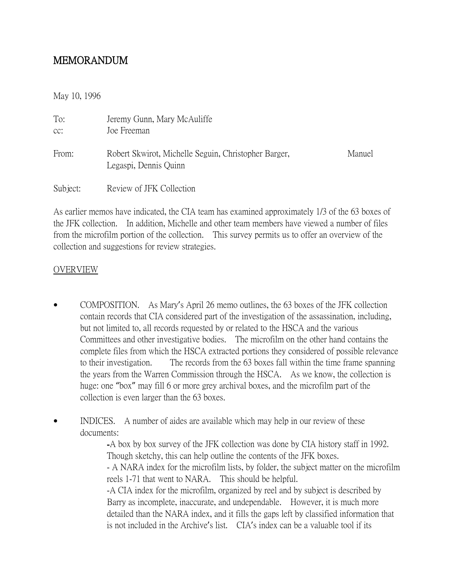# MEMORANDUM

May 10, 1996

| To:<br>CC: | Jeremy Gunn, Mary McAuliffe<br>Joe Freeman                                    |        |
|------------|-------------------------------------------------------------------------------|--------|
| From:      | Robert Skwirot, Michelle Seguin, Christopher Barger,<br>Legaspi, Dennis Quinn | Manuel |
| Subject:   | Review of JFK Collection                                                      |        |

As earlier memos have indicated, the CIA team has examined approximately 1/3 of the 63 boxes of the JFK collection. In addition, Michelle and other team members have viewed a number of files from the microfilm portion of the collection. This survey permits us to offer an overview of the collection and suggestions for review strategies.

#### OVERVIEW

- COMPOSITION. As Mary's April 26 memo outlines, the 63 boxes of the JFK collection contain records that CIA considered part of the investigation of the assassination, including, but not limited to, all records requested by or related to the HSCA and the various Committees and other investigative bodies. The microfilm on the other hand contains the complete files from which the HSCA extracted portions they considered of possible relevance to their investigation. The records from the 63 boxes fall within the time frame spanning the years from the Warren Commission through the HSCA. As we know, the collection is huge: one "box" may fill 6 or more grey archival boxes, and the microfilm part of the collection is even larger than the 63 boxes.
- INDICES. A number of aides are available which may help in our review of these documents:

-A box by box survey of the JFK collection was done by CIA history staff in 1992. Though sketchy, this can help outline the contents of the JFK boxes. - A NARA index for the microfilm lists, by folder, the subject matter on the microfilm reels 1-71 that went to NARA. This should be helpful. -A CIA index for the microfilm, organized by reel and by subject is described by Barry as incomplete, inaccurate, and undependable. However, it is much more detailed than the NARA index, and it fills the gaps left by classified information that is not included in the Archive's list. CIA's index can be a valuable tool if its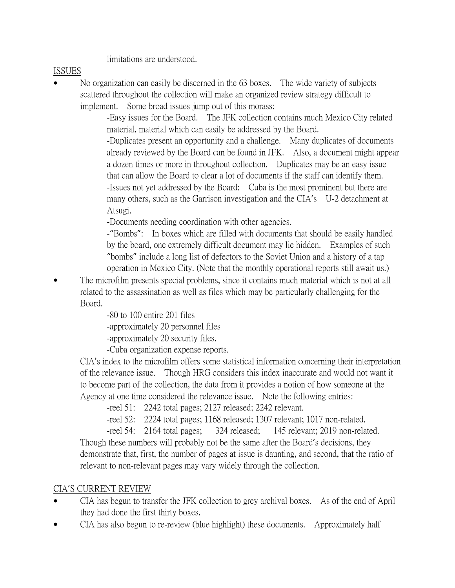limitations are understood.

### ISSUES

• No organization can easily be discerned in the 63 boxes. The wide variety of subjects scattered throughout the collection will make an organized review strategy difficult to implement. Some broad issues jump out of this morass:

> -Easy issues for the Board. The JFK collection contains much Mexico City related material, material which can easily be addressed by the Board.

-Duplicates present an opportunity and a challenge. Many duplicates of documents already reviewed by the Board can be found in JFK. Also, a document might appear a dozen times or more in throughout collection. Duplicates may be an easy issue that can allow the Board to clear a lot of documents if the staff can identify them. -Issues not yet addressed by the Board: Cuba is the most prominent but there are many others, such as the Garrison investigation and the CIA's U-2 detachment at Atsugi.

-Documents needing coordination with other agencies.

-"Bombs": In boxes which are filled with documents that should be easily handled by the board, one extremely difficult document may lie hidden. Examples of such "bombs" include a long list of defectors to the Soviet Union and a history of a tap operation in Mexico City. (Note that the monthly operational reports still await us.)

• The microfilm presents special problems, since it contains much material which is not at all related to the assassination as well as files which may be particularly challenging for the Board.

-80 to 100 entire 201 files

-approximately 20 personnel files

-approximately 20 security files.

-Cuba organization expense reports.

CIA's index to the microfilm offers some statistical information concerning their interpretation of the relevance issue. Though HRG considers this index inaccurate and would not want it to become part of the collection, the data from it provides a notion of how someone at the Agency at one time considered the relevance issue. Note the following entries:

-reel 51: 2242 total pages; 2127 released; 2242 relevant.

-reel 52: 2224 total pages; 1168 released; 1307 relevant; 1017 non-related.

-reel 54: 2164 total pages; 324 released; 145 relevant; 2019 non-related. Though these numbers will probably not be the same after the Board's decisions, they demonstrate that, first, the number of pages at issue is daunting, and second, that the ratio of relevant to non-relevant pages may vary widely through the collection.

## CIA'S CURRENT REVIEW

- CIA has begun to transfer the JFK collection to grey archival boxes. As of the end of April they had done the first thirty boxes.
- CIA has also begun to re-review (blue highlight) these documents. Approximately half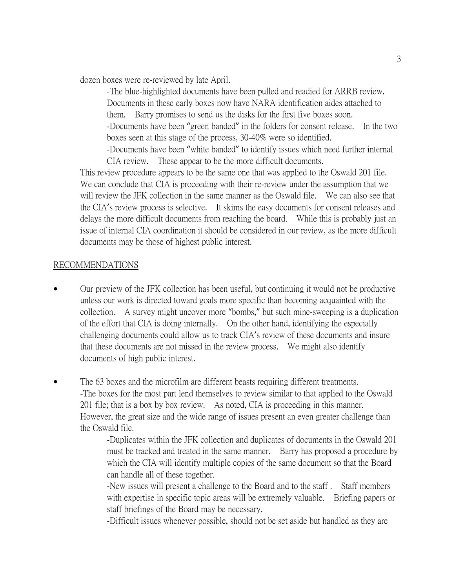dozen boxes were re-reviewed by late April.

-The blue-highlighted documents have been pulled and readied for ARRB review. Documents in these early boxes now have NARA identification aides attached to them. Barry promises to send us the disks for the first five boxes soon. -Documents have been "green banded" in the folders for consent release. In the two boxes seen at this stage of the process, 30-40% were so identified. -Documents have been "white banded" to identify issues which need further internal CIA review. These appear to be the more difficult documents.

This review procedure appears to be the same one that was applied to the Oswald 201 file. We can conclude that CIA is proceeding with their re-review under the assumption that we will review the JFK collection in the same manner as the Oswald file. We can also see that the CIA's review process is selective. It skims the easy documents for consent releases and delays the more difficult documents from reaching the board. While this is probably just an issue of internal CIA coordination it should be considered in our review, as the more difficult documents may be those of highest public interest.

#### RECOMMENDATIONS

- Our preview of the JFK collection has been useful, but continuing it would not be productive unless our work is directed toward goals more specific than becoming acquainted with the collection. A survey might uncover more "bombs," but such mine-sweeping is a duplication of the effort that CIA is doing internally. On the other hand, identifying the especially challenging documents could allow us to track CIA's review of these documents and insure that these documents are not missed in the review process. We might also identify documents of high public interest.
- The 63 boxes and the microfilm are different beasts requiring different treatments. -The boxes for the most part lend themselves to review similar to that applied to the Oswald 201 file; that is a box by box review. As noted, CIA is proceeding in this manner. However, the great size and the wide range of issues present an even greater challenge than the Oswald file.

-Duplicates within the JFK collection and duplicates of documents in the Oswald 201 must be tracked and treated in the same manner. Barry has proposed a procedure by which the CIA will identify multiple copies of the same document so that the Board can handle all of these together.

-New issues will present a challenge to the Board and to the staff . Staff members with expertise in specific topic areas will be extremely valuable. Briefing papers or staff briefings of the Board may be necessary.

-Difficult issues whenever possible, should not be set aside but handled as they are